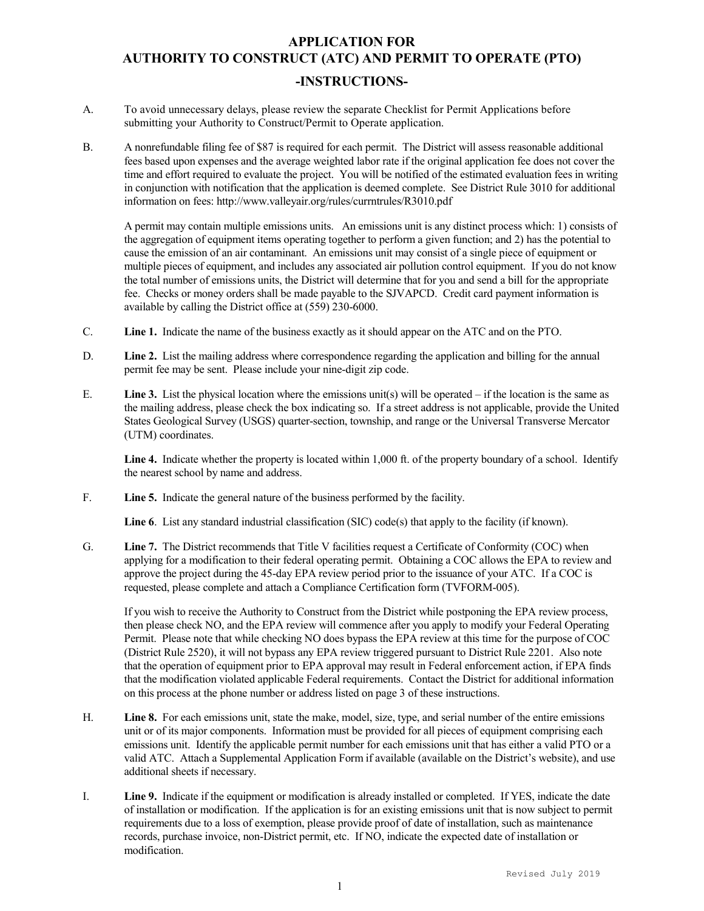## APPLICATION FOR AUTHORITY TO CONSTRUCT (ATC) AND PERMIT TO OPERATE (PTO) -INSTRUCTIONS-

- A. To avoid unnecessary delays, please review the separate Checklist for Permit Applications before submitting your Authority to Construct/Permit to Operate application.
- B. A nonrefundable filing fee of \$87 is required for each permit. The District will assess reasonable additional fees based upon expenses and the average weighted labor rate if the original application fee does not cover the time and effort required to evaluate the project. You will be notified of the estimated evaluation fees in writing in conjunction with notification that the application is deemed complete. See District Rule 3010 for additional information on fees: http://www.valleyair.org/rules/currntrules/R3010.pdf

A permit may contain multiple emissions units. An emissions unit is any distinct process which: 1) consists of the aggregation of equipment items operating together to perform a given function; and 2) has the potential to cause the emission of an air contaminant. An emissions unit may consist of a single piece of equipment or multiple pieces of equipment, and includes any associated air pollution control equipment. If you do not know the total number of emissions units, the District will determine that for you and send a bill for the appropriate fee. Checks or money orders shall be made payable to the SJVAPCD. Credit card payment information is available by calling the District office at (559) 230-6000.

- C. Line 1. Indicate the name of the business exactly as it should appear on the ATC and on the PTO.
- D. Line 2. List the mailing address where correspondence regarding the application and billing for the annual permit fee may be sent. Please include your nine-digit zip code.
- E. **Line 3.** List the physical location where the emissions unit(s) will be operated if the location is the same as the mailing address, please check the box indicating so. If a street address is not applicable, provide the United States Geological Survey (USGS) quarter-section, township, and range or the Universal Transverse Mercator (UTM) coordinates.

Line 4. Indicate whether the property is located within 1,000 ft. of the property boundary of a school. Identify the nearest school by name and address.

F. Line 5. Indicate the general nature of the business performed by the facility.

Line 6. List any standard industrial classification (SIC) code(s) that apply to the facility (if known).

G. Line 7. The District recommends that Title V facilities request a Certificate of Conformity (COC) when applying for a modification to their federal operating permit. Obtaining a COC allows the EPA to review and approve the project during the 45-day EPA review period prior to the issuance of your ATC. If a COC is requested, please complete and attach a Compliance Certification form (TVFORM-005).

If you wish to receive the Authority to Construct from the District while postponing the EPA review process, then please check NO, and the EPA review will commence after you apply to modify your Federal Operating Permit. Please note that while checking NO does bypass the EPA review at this time for the purpose of COC (District Rule 2520), it will not bypass any EPA review triggered pursuant to District Rule 2201. Also note that the operation of equipment prior to EPA approval may result in Federal enforcement action, if EPA finds that the modification violated applicable Federal requirements. Contact the District for additional information on this process at the phone number or address listed on page 3 of these instructions.

- H. Line 8. For each emissions unit, state the make, model, size, type, and serial number of the entire emissions unit or of its major components. Information must be provided for all pieces of equipment comprising each emissions unit. Identify the applicable permit number for each emissions unit that has either a valid PTO or a valid ATC. Attach a Supplemental Application Form if available (available on the District's website), and use additional sheets if necessary.
- I. Line 9. Indicate if the equipment or modification is already installed or completed. If YES, indicate the date of installation or modification. If the application is for an existing emissions unit that is now subject to permit requirements due to a loss of exemption, please provide proof of date of installation, such as maintenance records, purchase invoice, non-District permit, etc. If NO, indicate the expected date of installation or modification.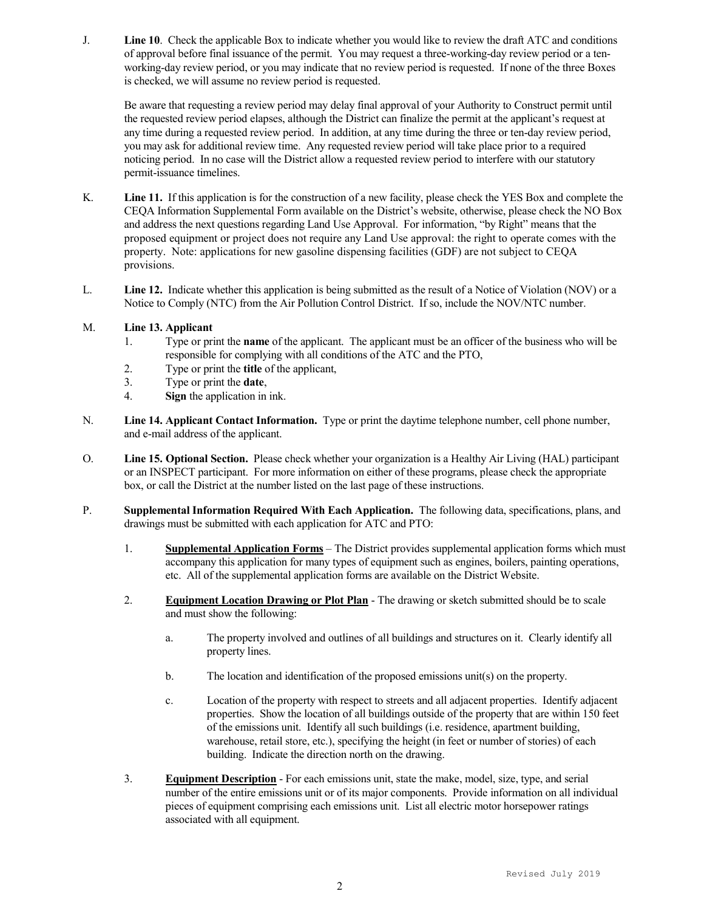J. Line 10. Check the applicable Box to indicate whether you would like to review the draft ATC and conditions of approval before final issuance of the permit. You may request a three-working-day review period or a tenworking-day review period, or you may indicate that no review period is requested. If none of the three Boxes is checked, we will assume no review period is requested.

Be aware that requesting a review period may delay final approval of your Authority to Construct permit until the requested review period elapses, although the District can finalize the permit at the applicant's request at any time during a requested review period. In addition, at any time during the three or ten-day review period, you may ask for additional review time. Any requested review period will take place prior to a required noticing period. In no case will the District allow a requested review period to interfere with our statutory permit-issuance timelines.

- K. Line 11. If this application is for the construction of a new facility, please check the YES Box and complete the CEQA Information Supplemental Form available on the District's website, otherwise, please check the NO Box and address the next questions regarding Land Use Approval. For information, "by Right" means that the proposed equipment or project does not require any Land Use approval: the right to operate comes with the property. Note: applications for new gasoline dispensing facilities (GDF) are not subject to CEQA provisions.
- L. Line 12. Indicate whether this application is being submitted as the result of a Notice of Violation (NOV) or a Notice to Comply (NTC) from the Air Pollution Control District. If so, include the NOV/NTC number.

## M. Line 13. Applicant

- 1. Type or print the name of the applicant. The applicant must be an officer of the business who will be responsible for complying with all conditions of the ATC and the PTO,
- 2. Type or print the title of the applicant,
- 3. Type or print the date,
- 4. Sign the application in ink.
- N. Line 14. Applicant Contact Information. Type or print the daytime telephone number, cell phone number, and e-mail address of the applicant.
- O. Line 15. Optional Section. Please check whether your organization is a Healthy Air Living (HAL) participant or an INSPECT participant. For more information on either of these programs, please check the appropriate box, or call the District at the number listed on the last page of these instructions.
- P. Supplemental Information Required With Each Application. The following data, specifications, plans, and drawings must be submitted with each application for ATC and PTO:
	- 1. Supplemental Application Forms The District provides supplemental application forms which must accompany this application for many types of equipment such as engines, boilers, painting operations, etc. All of the supplemental application forms are available on the District Website.
	- 2. Equipment Location Drawing or Plot Plan The drawing or sketch submitted should be to scale and must show the following:
		- a. The property involved and outlines of all buildings and structures on it. Clearly identify all property lines.
		- b. The location and identification of the proposed emissions unit(s) on the property.
		- c. Location of the property with respect to streets and all adjacent properties. Identify adjacent properties. Show the location of all buildings outside of the property that are within 150 feet of the emissions unit. Identify all such buildings (i.e. residence, apartment building, warehouse, retail store, etc.), specifying the height (in feet or number of stories) of each building. Indicate the direction north on the drawing.
	- 3. Equipment Description For each emissions unit, state the make, model, size, type, and serial number of the entire emissions unit or of its major components. Provide information on all individual pieces of equipment comprising each emissions unit. List all electric motor horsepower ratings associated with all equipment.